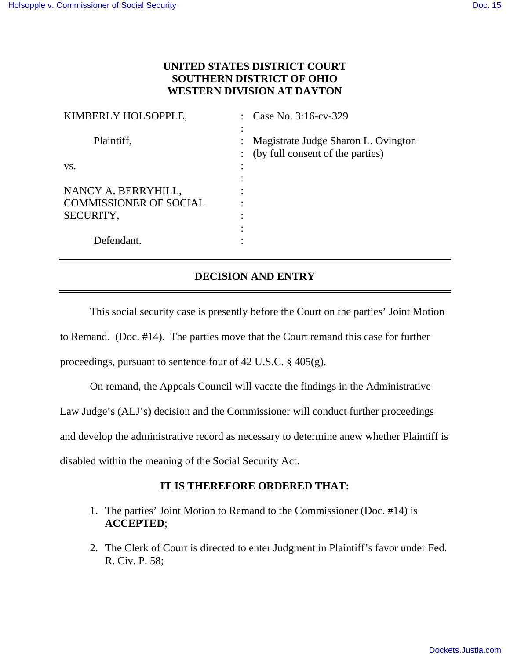## **UNITED STATES DISTRICT COURT SOUTHERN DISTRICT OF OHIO WESTERN DIVISION AT DAYTON**

| KIMBERLY HOLSOPPLE,           | : Case No. $3:16$ -cv-329                                                 |
|-------------------------------|---------------------------------------------------------------------------|
| Plaintiff,                    | Magistrate Judge Sharon L. Ovington<br>: (by full consent of the parties) |
| VS.                           |                                                                           |
|                               |                                                                           |
| NANCY A. BERRYHILL,           |                                                                           |
| <b>COMMISSIONER OF SOCIAL</b> |                                                                           |
| SECURITY,                     |                                                                           |
|                               |                                                                           |
| Defendant.                    |                                                                           |

## **DECISION AND ENTRY**

 This social security case is presently before the Court on the parties' Joint Motion to Remand. (Doc. #14). The parties move that the Court remand this case for further proceedings, pursuant to sentence four of 42 U.S.C. § 405(g).

On remand, the Appeals Council will vacate the findings in the Administrative Law Judge's (ALJ's) decision and the Commissioner will conduct further proceedings and develop the administrative record as necessary to determine anew whether Plaintiff is disabled within the meaning of the Social Security Act.

## **IT IS THEREFORE ORDERED THAT:**

- 1. The parties' Joint Motion to Remand to the Commissioner (Doc. #14) is **ACCEPTED**;
- 2. The Clerk of Court is directed to enter Judgment in Plaintiff's favor under Fed. R. Civ. P. 58;